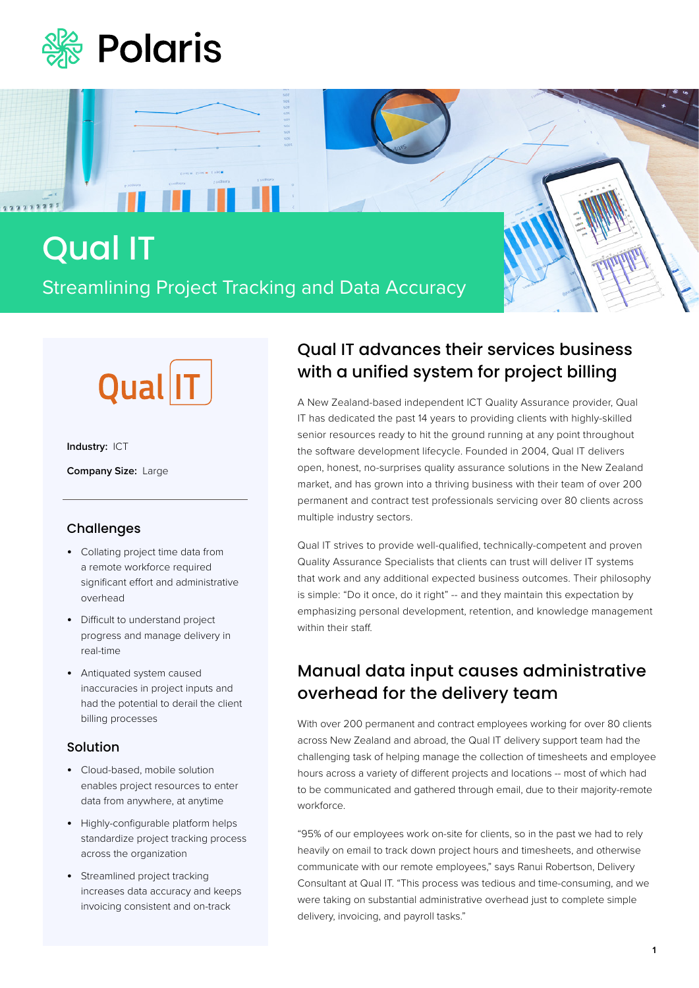

# Qual IT Streamlining Project Tracking and Data Accuracy



**ALL 11** 

**Industry:** ICT

2222223

**Company Size:** Large

### Challenges

- Collating project time data from a remote workforce required significant effort and administrative overhead
- Difficult to understand project progress and manage delivery in real-time
- Antiquated system caused inaccuracies in project inputs and had the potential to derail the client billing processes

#### Solution

- Cloud-based, mobile solution enables project resources to enter data from anywhere, at anytime
- Highly-configurable platform helps standardize project tracking process across the organization
- Streamlined project tracking increases data accuracy and keeps invoicing consistent and on-track

### Qual IT advances their services business with a unified system for project billing

A New Zealand-based independent ICT Quality Assurance provider, Qual IT has dedicated the past 14 years to providing clients with highly-skilled senior resources ready to hit the ground running at any point throughout the software development lifecycle. Founded in 2004, Qual IT delivers open, honest, no-surprises quality assurance solutions in the New Zealand market, and has grown into a thriving business with their team of over 200 permanent and contract test professionals servicing over 80 clients across multiple industry sectors.

Qual IT strives to provide well-qualified, technically-competent and proven Quality Assurance Specialists that clients can trust will deliver IT systems that work and any additional expected business outcomes. Their philosophy is simple: "Do it once, do it right" -- and they maintain this expectation by emphasizing personal development, retention, and knowledge management within their staff.

## Manual data input causes administrative overhead for the delivery team

With over 200 permanent and contract employees working for over 80 clients across New Zealand and abroad, the Qual IT delivery support team had the challenging task of helping manage the collection of timesheets and employee hours across a variety of different projects and locations -- most of which had to be communicated and gathered through email, due to their majority-remote workforce.

"95% of our employees work on-site for clients, so in the past we had to rely heavily on email to track down project hours and timesheets, and otherwise communicate with our remote employees," says Ranui Robertson, Delivery Consultant at Qual IT. "This process was tedious and time-consuming, and we were taking on substantial administrative overhead just to complete simple delivery, invoicing, and payroll tasks."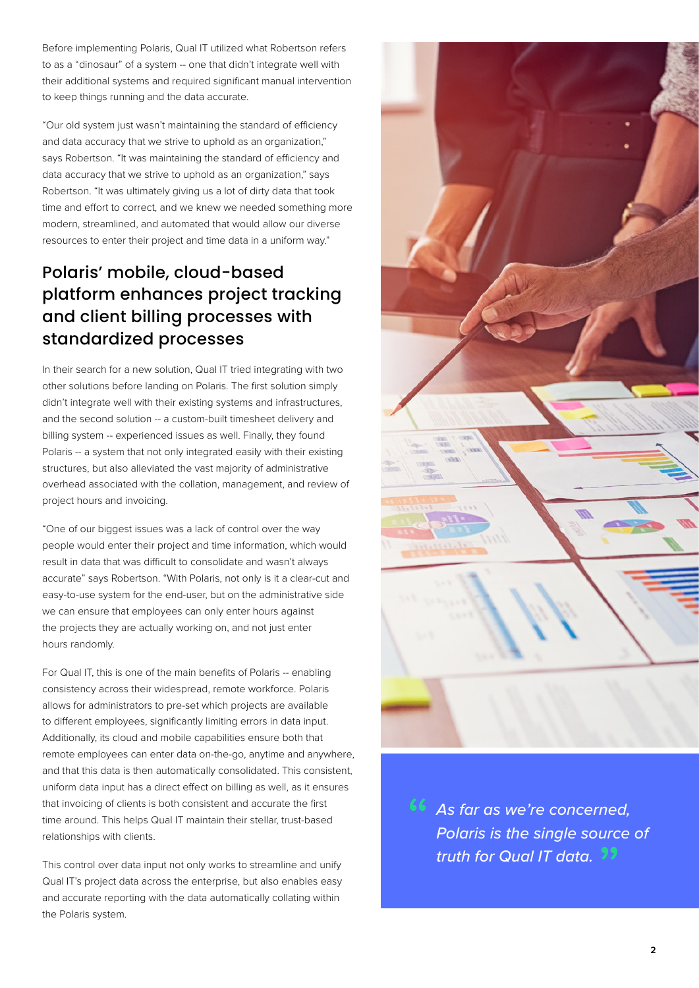Before implementing Polaris, Qual IT utilized what Robertson refers to as a "dinosaur" of a system -- one that didn't integrate well with their additional systems and required significant manual intervention to keep things running and the data accurate.

"Our old system just wasn't maintaining the standard of efficiency and data accuracy that we strive to uphold as an organization," says Robertson. "It was maintaining the standard of efficiency and data accuracy that we strive to uphold as an organization," says Robertson. "It was ultimately giving us a lot of dirty data that took time and effort to correct, and we knew we needed something more modern, streamlined, and automated that would allow our diverse resources to enter their project and time data in a uniform way."

## Polaris' mobile, cloud-based platform enhances project tracking and client billing processes with standardized processes

In their search for a new solution, Qual IT tried integrating with two other solutions before landing on Polaris. The first solution simply didn't integrate well with their existing systems and infrastructures, and the second solution -- a custom-built timesheet delivery and billing system -- experienced issues as well. Finally, they found Polaris -- a system that not only integrated easily with their existing structures, but also alleviated the vast majority of administrative overhead associated with the collation, management, and review of project hours and invoicing.

"One of our biggest issues was a lack of control over the way people would enter their project and time information, which would result in data that was difficult to consolidate and wasn't always accurate" says Robertson. "With Polaris, not only is it a clear-cut and easy-to-use system for the end-user, but on the administrative side we can ensure that employees can only enter hours against the projects they are actually working on, and not just enter hours randomly.

For Qual IT, this is one of the main benefits of Polaris -- enabling consistency across their widespread, remote workforce. Polaris allows for administrators to pre-set which projects are available to different employees, significantly limiting errors in data input. Additionally, its cloud and mobile capabilities ensure both that remote employees can enter data on-the-go, anytime and anywhere, and that this data is then automatically consolidated. This consistent, uniform data input has a direct effect on billing as well, as it ensures that invoicing of clients is both consistent and accurate the first time around. This helps Qual IT maintain their stellar, trust-based relationships with clients.

This control over data input not only works to streamline and unify Qual IT's project data across the enterprise, but also enables easy and accurate reporting with the data automatically collating within the Polaris system.



**46** As far as we're concerned,<br>Polaris is the single source *Polaris is the single source of truth for Qual IT data.* "